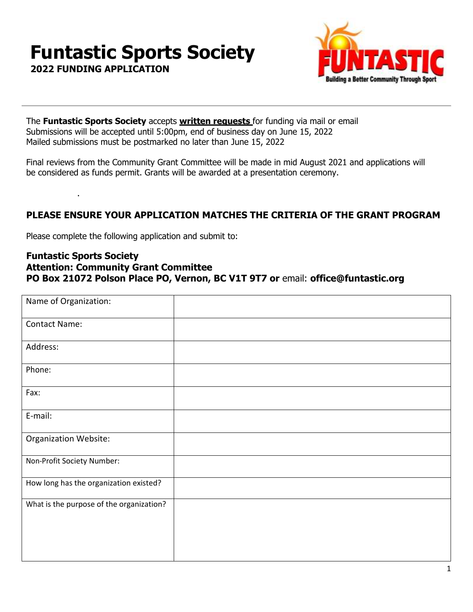# **Funtastic Sports Society**

**Suilding a Better Community T** 

**2022 FUNDING APPLICATION**

.

The **Funtastic Sports Society** accepts **written requests** for funding via mail or email Submissions will be accepted until 5:00pm, end of business day on June 15, 2022 Mailed submissions must be postmarked no later than June 15, 2022

Final reviews from the Community Grant Committee will be made in mid August 2021 and applications will be considered as funds permit. Grants will be awarded at a presentation ceremony.

## **PLEASE ENSURE YOUR APPLICATION MATCHES THE CRITERIA OF THE GRANT PROGRAM**

Please complete the following application and submit to:

#### **Funtastic Sports Society Attention: Community Grant Committee PO Box 21072 Polson Place PO, Vernon, BC V1T 9T7 or** email: **[office@funtastic.org](mailto:office@funtastic.org)**

| Name of Organization:                    |  |
|------------------------------------------|--|
| <b>Contact Name:</b>                     |  |
| Address:                                 |  |
| Phone:                                   |  |
| Fax:                                     |  |
| E-mail:                                  |  |
| <b>Organization Website:</b>             |  |
| Non-Profit Society Number:               |  |
| How long has the organization existed?   |  |
| What is the purpose of the organization? |  |
|                                          |  |
|                                          |  |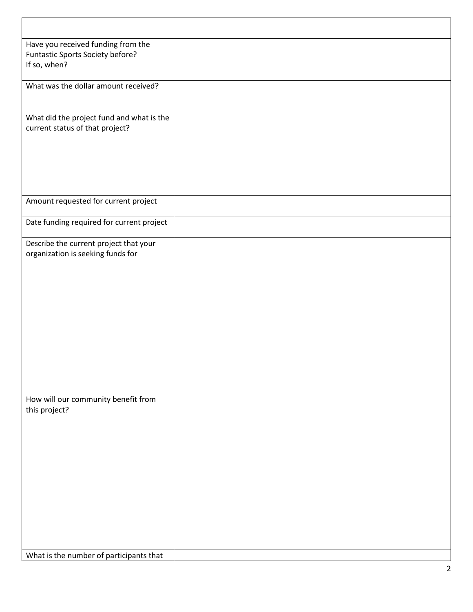| Have you received funding from the<br>Funtastic Sports Society before?<br>If so, when? |  |
|----------------------------------------------------------------------------------------|--|
| What was the dollar amount received?                                                   |  |
| What did the project fund and what is the<br>current status of that project?           |  |
| Amount requested for current project                                                   |  |
| Date funding required for current project                                              |  |
| Describe the current project that your<br>organization is seeking funds for            |  |
| How will our community benefit from<br>this project?                                   |  |
| What is the number of participants that                                                |  |